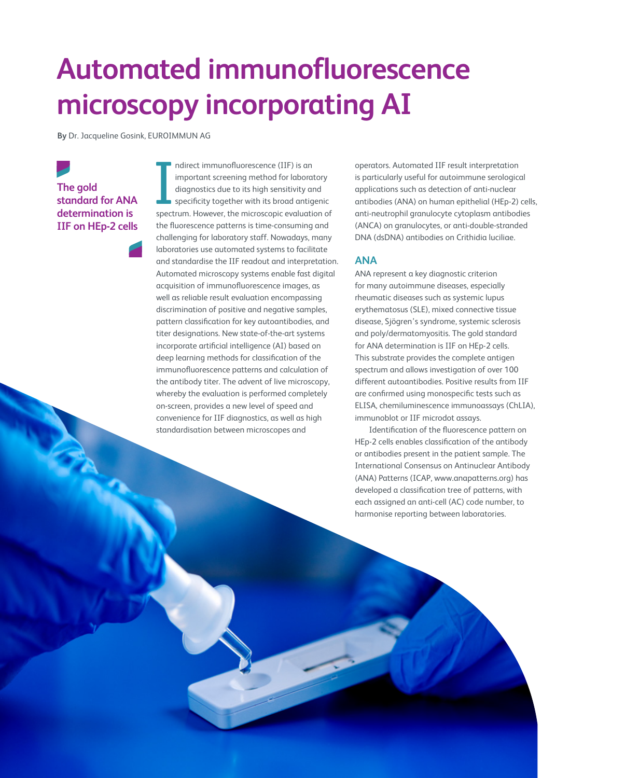# **Automated immunofluorescence microscopy incorporating AI**

**By** Dr. Jacqueline Gosink, EUROIMMUN AG

# **The gold standard for ANA determination is IIF on HEp-2 cells**

ndirect immunofluorescence (IIF) is an<br>important screening method for laboratory<br>diagnostics due to its high sensitivity and<br>specificity together with its broad antigenic<br>spectrum. However, the microscopic evaluation of ndirect immunofluorescence (IIF) is an important screening method for laboratory diagnostics due to its high sensitivity and specificity together with its broad antigenic the fluorescence patterns is time-consuming and challenging for laboratory staff. Nowadays, many laboratories use automated systems to facilitate and standardise the IIF readout and interpretation. Automated microscopy systems enable fast digital acquisition of immunofluorescence images, as well as reliable result evaluation encompassing discrimination of positive and negative samples, pattern classification for key autoantibodies, and titer designations. New state-of-the-art systems incorporate artificial intelligence (AI) based on deep learning methods for classification of the immunofluorescence patterns and calculation of the antibody titer. The advent of live microscopy, whereby the evaluation is performed completely on-screen, provides a new level of speed and convenience for IIF diagnostics, as well as high standardisation between microscopes and

operators. Automated IIF result interpretation is particularly useful for autoimmune serological applications such as detection of anti-nuclear antibodies (ANA) on human epithelial (HEp-2) cells, anti-neutrophil granulocyte cytoplasm antibodies (ANCA) on granulocytes, or anti-double-stranded DNA (dsDNA) antibodies on Crithidia luciliae.

# **ANA**

ANA represent a key diagnostic criterion for many autoimmune diseases, especially rheumatic diseases such as systemic lupus erythematosus (SLE), mixed connective tissue disease, Sjögren's syndrome, systemic sclerosis and poly/dermatomyositis. The gold standard for ANA determination is IIF on HEp-2 cells. This substrate provides the complete antigen spectrum and allows investigation of over 100 different autoantibodies. Positive results from IIF are confirmed using monospecific tests such as ELISA, chemiluminescence immunoassays (ChLIA), immunoblot or IIF microdot assays.

Identification of the fluorescence pattern on HEp-2 cells enables classification of the antibody or antibodies present in the patient sample. The International Consensus on Antinuclear Antibody (ANA) Patterns (ICAP, www.anapatterns.org) has developed a classification tree of patterns, with each assigned an anti-cell (AC) code number, to harmonise reporting between laboratories.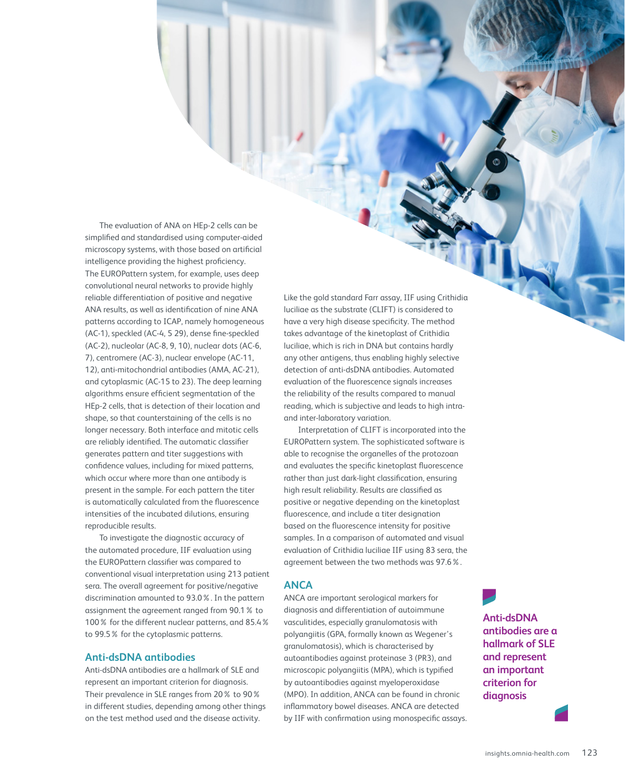The evaluation of ANA on HEp-2 cells can be simplified and standardised using computer-aided microscopy systems, with those based on artificial intelligence providing the highest proficiency. The EUROPattern system, for example, uses deep convolutional neural networks to provide highly reliable differentiation of positive and negative ANA results, as well as identification of nine ANA patterns according to ICAP, namely homogeneous (AC-1), speckled (AC-4, 5 29), dense fine-speckled (AC-2), nucleolar (AC-8, 9, 10), nuclear dots (AC-6, 7), centromere (AC-3), nuclear envelope (AC-11, 12), anti-mitochondrial antibodies (AMA, AC-21), and cytoplasmic (AC-15 to 23). The deep learning algorithms ensure efficient segmentation of the HEp-2 cells, that is detection of their location and shape, so that counterstaining of the cells is no longer necessary. Both interface and mitotic cells are reliably identified. The automatic classifier generates pattern and titer suggestions with confidence values, including for mixed patterns, which occur where more than one antibody is present in the sample. For each pattern the titer is automatically calculated from the fluorescence intensities of the incubated dilutions, ensuring reproducible results.

To investigate the diagnostic accuracy of the automated procedure, IIF evaluation using the EUROPattern classifier was compared to conventional visual interpretation using 213 patient sera. The overall agreement for positive/negative discrimination amounted to 93.0%. In the pattern assignment the agreement ranged from 90.1% to 100% for the different nuclear patterns, and 85.4% to 99.5% for the cytoplasmic patterns.

# **Anti-dsDNA antibodies**

Anti-dsDNA antibodies are a hallmark of SLE and represent an important criterion for diagnosis. Their prevalence in SLE ranges from 20% to 90% in different studies, depending among other things on the test method used and the disease activity.

Like the gold standard Farr assay, IIF using Crithidia luciliae as the substrate (CLIFT) is considered to have a very high disease specificity. The method takes advantage of the kinetoplast of Crithidia luciliae, which is rich in DNA but contains hardly any other antigens, thus enabling highly selective detection of anti-dsDNA antibodies. Automated evaluation of the fluorescence signals increases the reliability of the results compared to manual reading, which is subjective and leads to high intraand inter-laboratory variation.

Interpretation of CLIFT is incorporated into the EUROPattern system. The sophisticated software is able to recognise the organelles of the protozoan and evaluates the specific kinetoplast fluorescence rather than just dark-light classification, ensuring high result reliability. Results are classified as positive or negative depending on the kinetoplast fluorescence, and include a titer designation based on the fluorescence intensity for positive samples. In a comparison of automated and visual evaluation of Crithidia luciliae IIF using 83 sera, the agreement between the two methods was 97.6%.

#### **ANCA**

ANCA are important serological markers for diagnosis and differentiation of autoimmune vasculitides, especially granulomatosis with polyangiitis (GPA, formally known as Wegener's granulomatosis), which is characterised by autoantibodies against proteinase 3 (PR3), and microscopic polyangiitis (MPA), which is typified by autoantibodies against myeloperoxidase (MPO). In addition, ANCA can be found in chronic inflammatory bowel diseases. ANCA are detected by IIF with confirmation using monospecific assays.

**Anti-dsDNA antibodies are a hallmark of SLE and represent an important criterion for diagnosis**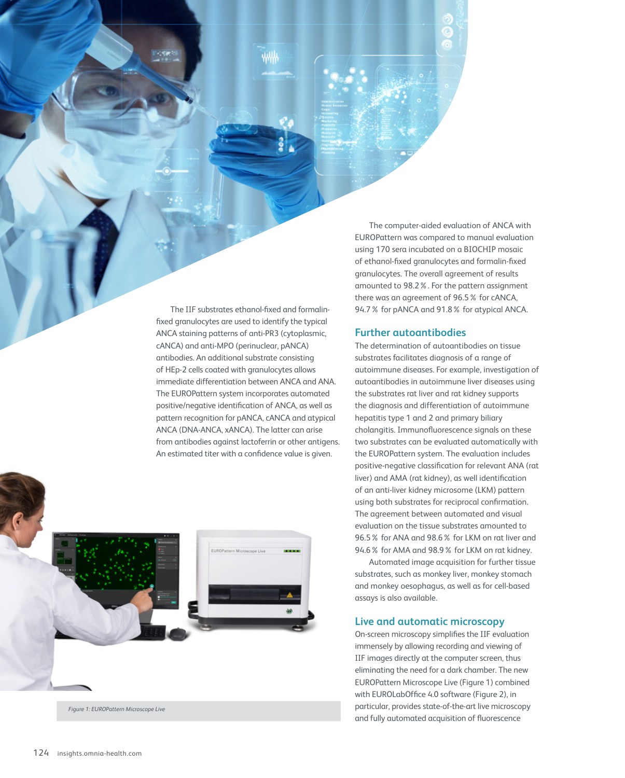The IIF substrates ethanol-fixed and formalinfixed granulocytes are used to identify the typical ANCA staining patterns of anti-PR3 (cytoplasmic, cANCA) and anti-MPO (perinuclear, pANCA) antibodies. An additional substrate consisting of HEp-2 cells coated with granulocytes allows immediate differentiation between ANCA and ANA. The EUROPattern system incorporates automated positive/negative identification of ANCA, as well as pattern recognition for pANCA, cANCA and atypical ANCA (DNA-ANCA, xANCA). The latter can arise from antibodies against lactoferrin or other antigens. An estimated titer with a confidence value is given.



The computer-aided evaluation of ANCA with EUROPattern was compared to manual evaluation using 170 sera incubated on a BIOCHIP mosaic of ethanol-fixed granulocytes and formalin-fixed granulocytes. The overall agreement of results amounted to 98.2%. For the pattern assignment there was an agreement of 96.5% for cANCA, 94.7% for pANCA and 91.8% for atypical ANCA.

# **Further autoantibodies**

The determination of autoantibodies on tissue substrates facilitates diagnosis of a range of autoimmune diseases. For example, investigation of autoantibodies in autoimmune liver diseases using the substrates rat liver and rat kidney supports the diagnosis and differentiation of autoimmune hepatitis type 1 and 2 and primary biliary cholangitis. Immunofluorescence signals on these two substrates can be evaluated automatically with the EUROPattern system. The evaluation includes positive-negative classification for relevant ANA (rat liver) and AMA (rat kidney), as well identification of an anti-liver kidney microsome (LKM) pattern using both substrates for reciprocal confirmation. The agreement between automated and visual evaluation on the tissue substrates amounted to 96.5% for ANA and 98.6% for LKM on rat liver and 94.6% for AMA and 98.9% for LKM on rat kidney.

Automated image acquisition for further tissue substrates, such as monkey liver, monkey stomach and monkey oesophagus, as well as for cell-based assays is also available.

# **Live and automatic microscopy**

On-screen microscopy simplifies the IIF evaluation immensely by allowing recording and viewing of IIF images directly at the computer screen, thus eliminating the need for a dark chamber. The new EUROPattern Microscope Live (Figure 1) combined with EUROLabOffice 4.0 software (Figure 2), in particular, provides state-of-the-art live microscopy and fully automated acquisition of fluorescence